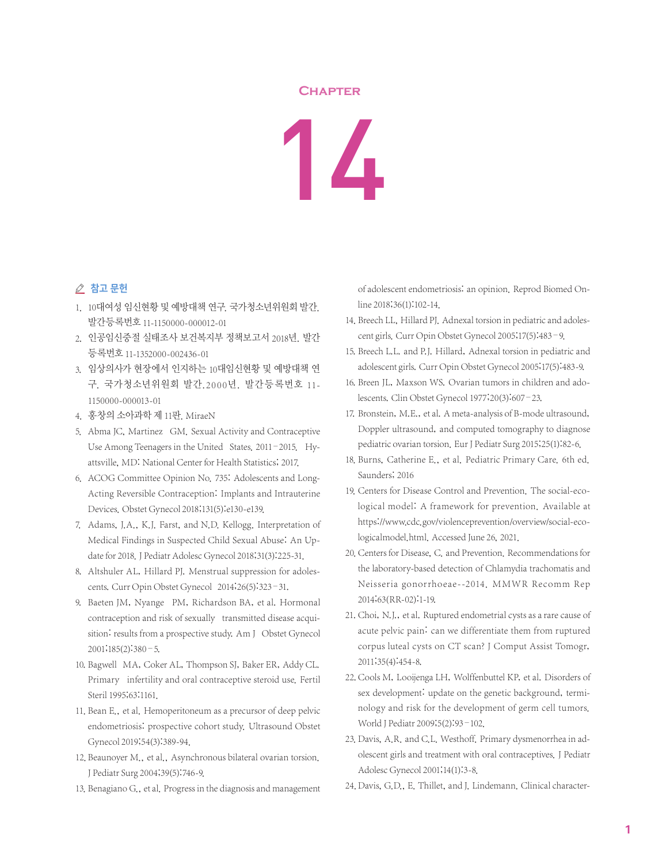## **Chapter**

## 14

## △ 참고 문헌

- 1. 10대여성 임신현황 및 예방대책 연구. 국가청소년위원회 발간. 발간등록번호 11-1150000-000012-01
- 2. 인공임신중절 실태조사 보건복지부 정책보고서 2018년. 발간 등록번호 11-1352000-002436-01
- 3. 임상의사가 현장에서 인지하는 10대임신현황 및 예방대책 연 구. 국가청소년위원회 발간.2000년. 발간등록번호 11- 1150000-000013-01
- 4. 홍창의 소아과학 제 11판. MiraeN
- 5. Abma JC, Martinez GM. Sexual Activity and Contraceptive Use Among Teenagers in the United States. 2011–2015. Hyattsville, MD: National Center for Health Statistics; 2017.
- 6. ACOG Committee Opinion No. 735: Adolescents and Long-Acting Reversible Contraception: Implants and Intrauterine Devices. Obstet Gynecol 2018;131(5):e130-e139.
- 7. Adams, J.A., K.J. Farst, and N.D. Kellogg. Interpretation of Medical Findings in Suspected Child Sexual Abuse: An Update for 2018.J Pediatr Adolesc Gynecol 2018;31(3):225-31.
- 8. Altshuler AL, Hillard PJ. Menstrual suppression for adolescents. Curr Opin Obstet Gynecol 2014;26(5):323–31.
- 9. Baeten JM, Nyange PM, Richardson BA, et al. Hormonal contraception and risk of sexually transmitted disease acquisition: results from a prospective study. Am J Obstet Gynecol  $2001$ ; $185(2)$ : $380 - 5$ .
- 10. Bagwell MA, Coker AL, Thompson SJ, Baker ER, Addy CL. Primary infertility and oral contraceptive steroid use. Fertil Steril 1995;63:1161.
- 11. Bean E., et al. Hemoperitoneum as a precursor of deep pelvic endometriosis: prospective cohort study. Ultrasound Obstet Gynecol 2019;54(3):389-94.
- 12. Beaunoyer M., et al., Asynchronous bilateral ovarian torsion. J Pediatr Surg 2004;39(5):746-9.
- 13. Benagiano G., et al. Progress in the diagnosis and management

of adolescent endometriosis: an opinion. Reprod Biomed Online 2018;36(1):102-14.

- 14. Breech LL, Hillard PJ. Adnexal torsion in pediatric and adolescent girls. Curr Opin Obstet Gynecol 2005;17(5):483–9.
- 15. Breech L.L. and P.J. Hillard, Adnexal torsion in pediatric and adolescent girls. Curr Opin Obstet Gynecol 2005;17(5):483-9.
- 16. Breen JL, Maxson WS. Ovarian tumors in children and adolescents. Clin Obstet Gynecol 1977;20(3):607–23.
- 17. Bronstein, M.E., et al. A meta-analysis of B-mode ultrasound, Doppler ultrasound, and computed tomography to diagnose pediatric ovarian torsion. Eur J Pediatr Surg 2015;25(1):82-6.
- 18. Burns, Catherine E., et al. Pediatric Primary Care. 6th ed. Saunders; 2016
- 19. Centers for Disease Control and Prevention. The social-ecological model: A framework for prevention. Available at https://www.cdc.gov/violenceprevention/overview/social-ecologicalmodel.html. Accessed June 26, 2021.
- 20. Centers for Disease, C. and Prevention. Recommendations for the laboratory-based detection of Chlamydia trachomatis and Neisseria gonorrhoeae--2014. MMWR Recomm Rep 2014;63(RR-02):1-19.
- 21. Choi, N.J., et al. Ruptured endometrial cysts as a rare cause of acute pelvic pain: can we differentiate them from ruptured corpus luteal cysts on CT scan? J Comput Assist Tomogr, 2011;35(4):454-8.
- 22. Cools M, Looijenga LH, Wolffenbuttel KP, et al. Disorders of sex development: update on the genetic background, terminology and risk for the development of germ cell tumors. World J Pediatr 2009;5(2):93–102.
- 23. Davis, A.R. and C.L. Westhoff. Primary dysmenorrhea in adolescent girls and treatment with oral contraceptives. J Pediatr Adolesc Gynecol 2001;14(1):3-8.
- 24. Davis, G.D., E. Thillet, and J. Lindemann. Clinical character-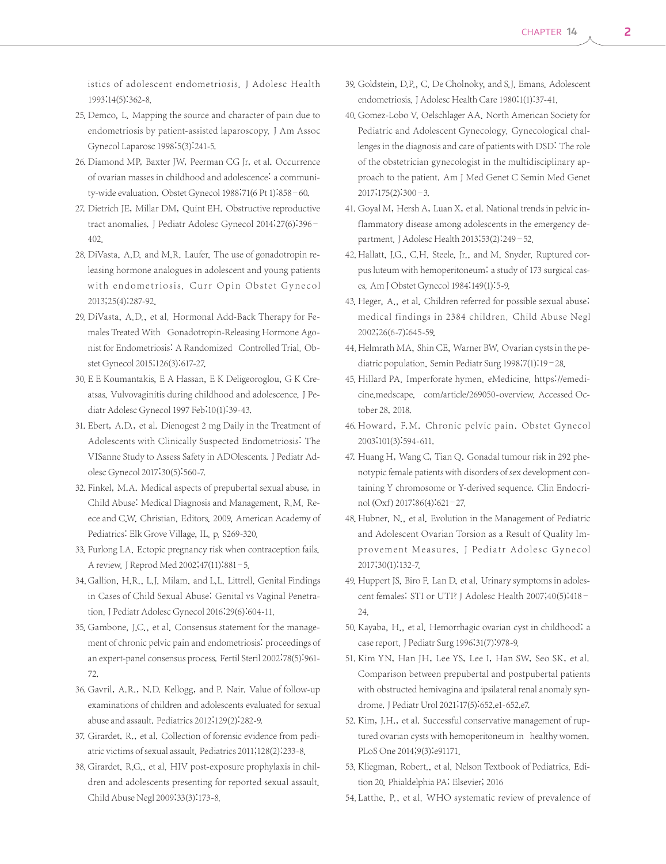istics of adolescent endometriosis. J Adolesc Health 1993;14(5):362-8.

- 25. Demco, L. Mapping the source and character of pain due to endometriosis by patient-assisted laparoscopy. J Am Assoc Gynecol Laparosc 1998;5(3):241-5.
- 26. Diamond MP, Baxter JW, Peerman CG Jr, et al. Occurrence of ovarian masses in childhood and adolescence: a community-wide evaluation. Obstet Gynecol 1988;71(6 Pt 1):858–60.
- 27. Dietrich JE, Millar DM, Quint EH. Obstructive reproductive tract anomalies. J Pediatr Adolesc Gynecol 2014;27(6):396– 402.
- 28. DiVasta, A.D. and M.R. Laufer. The use of gonadotropin releasing hormone analogues in adolescent and young patients with endometriosis. Curr Opin Obstet Gynecol 2013;25(4):287-92.
- 29. DiVasta, A.D., et al. Hormonal Add-Back Therapy for Females Treated With Gonadotropin-Releasing Hormone Agonist for Endometriosis: A Randomized Controlled Trial. Obstet Gynecol 2015;126(3):617-27.
- 30. E E Koumantakis, E A Hassan, E K Deligeoroglou, G K Creatsas. Vulvovaginitis during childhood and adolescence. J Pediatr Adolesc Gynecol 1997 Feb;10(1):39-43.
- 31. Ebert, A.D., et al. Dienogest 2 mg Daily in the Treatment of Adolescents with Clinically Suspected Endometriosis: The VISanne Study to Assess Safety in ADOlescents. J Pediatr Adolesc Gynecol 2017;30(5):560-7.
- 32. Finkel, M.A. Medical aspects of prepubertal sexual abuse, in Child Abuse: Medical Diagnosis and Management, R.M. Reece and C.W. Christian, Editors. 2009, American Academy of Pediatrics: Elk Grove Village, IL. p. S269-320.
- 33. Furlong LA. Ectopic pregnancy risk when contraception fails. A review.J Reprod Med 2002;47(11):881–5.
- 34. Gallion, H.R., L.J. Milam, and L.L. Littrell. Genital Findings in Cases of Child Sexual Abuse: Genital vs Vaginal Penetration. J Pediatr Adolesc Gynecol 2016;29(6):604-11.
- 35. Gambone, J.C., et al. Consensus statement for the management of chronic pelvic pain and endometriosis: proceedings of an expert-panel consensus process. Fertil Steril 2002;78(5):961- 72.
- 36. Gavril, A.R., N.D. Kellogg, and P. Nair. Value of follow-up examinations of children and adolescents evaluated for sexual abuse and assault. Pediatrics 2012;129(2):282-9.
- 37. Girardet, R., et al. Collection of forensic evidence from pediatric victims of sexual assault. Pediatrics 2011;128(2):233-8.
- 38. Girardet, R.G., et al. HIV post-exposure prophylaxis in children and adolescents presenting for reported sexual assault. Child Abuse Negl 2009;33(3):173-8.
- 39. Goldstein, D.P., C. De Cholnoky, and S.J. Emans. Adolescent endometriosis. J Adolesc Health Care 1980;1(1):37-41.
- 40. Gomez-Lobo V, Oelschlager AA. North American Society for Pediatric and Adolescent Gynecology. Gynecological challenges in the diagnosis and care of patients with DSD: The role of the obstetrician gynecologist in the multidisciplinary approach to the patient. Am J Med Genet C Semin Med Genet 2017;175(2):300–3.
- 41. Goyal M, Hersh A, Luan X, et al. National trends in pelvic inflammatory disease among adolescents in the emergency department.J Adolesc Health 2013;53(2):249–52.
- 42. Hallatt, J.G., C.H. Steele, Jr., and M. Snyder. Ruptured corpus luteum with hemoperitoneum: a study of 173 surgical cases. Am J Obstet Gynecol 1984;149(1):5-9.
- 43. Heger, A., et al. Children referred for possible sexual abuse: medical findings in 2384 children. Child Abuse Negl 2002;26(6-7):645-59.
- 44. Helmrath MA, Shin CE, Warner BW. Ovarian cysts in the pediatric population. Semin Pediatr Surg 1998;7(1):19-28.
- 45. Hillard PA. Imperforate hymen. eMedicine. https://emedicine.medscape. com/article/269050-overview. Accessed October 28, 2018.
- 46. Howard, F.M. Chronic pelvic pain. Obstet Gynecol 2003;101(3):594-611.
- 47. Huang H, Wang C, Tian Q. Gonadal tumour risk in 292 phenotypic female patients with disorders of sex development containing Y chromosome or Y-derived sequence. Clin Endocrinol(Oxf) 2017;86(4):621–27.
- 48. Hubner, N., et al. Evolution in the Management of Pediatric and Adolescent Ovarian Torsion as a Result of Quality Improvement Measures. J Pediatr Adolesc Gynecol 2017;30(1):132-7.
- 49. Huppert JS, Biro F, Lan D, et al. Urinary symptoms in adolescent females: STI or UTI? J Adolesc Health 2007;40(5):418– 24.
- 50. Kayaba, H., et al. Hemorrhagic ovarian cyst in childhood: a case report.J Pediatr Surg 1996;31(7):978-9.
- 51. Kim YN, Han JH, Lee YS, Lee I, Han SW, Seo SK, et al. Comparison between prepubertal and postpubertal patients with obstructed hemivagina and ipsilateral renal anomaly syndrome. J Pediatr Urol 2021;17(5):652.e1-652.e7.
- 52. Kim, J.H., et al. Successful conservative management of ruptured ovarian cysts with hemoperitoneum in healthy women. PLoS One 2014;9(3):e91171.
- 53. Kliegman, Robert., et al. Nelson Textbook of Pediatrics. Edition 20. Phialdelphia PA: Elsevier; 2016
- 54. Latthe, P., et al. WHO systematic review of prevalence of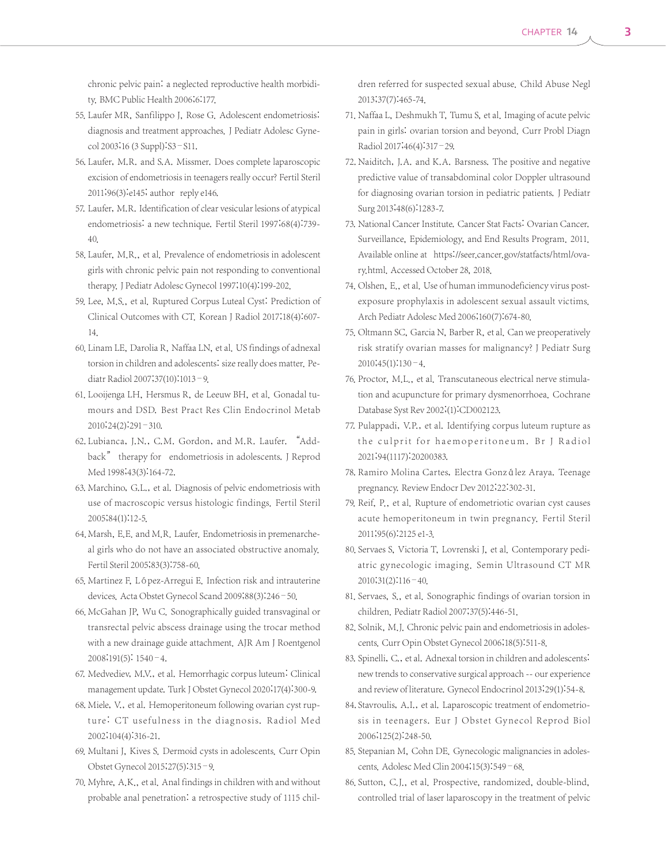chronic pelvic pain: a neglected reproductive health morbidity. BMC Public Health 2006;6:177.

- 55. Laufer MR, Sanfilippo J, Rose G. Adolescent endometriosis: diagnosis and treatment approaches. J Pediatr Adolesc Gynecol 2003;16 (3 Suppl):S3–S11.
- 56. Laufer, M.R. and S.A. Missmer. Does complete laparoscopic excision of endometriosis in teenagers really occur? Fertil Steril 2011;96(3):e145; author reply e146.
- 57. Laufer, M.R. Identification of clear vesicular lesions of atypical endometriosis: a new technique. Fertil Steril 1997;68(4):739- 40.
- 58. Laufer, M.R., et al. Prevalence of endometriosis in adolescent girls with chronic pelvic pain not responding to conventional therapy. J Pediatr Adolesc Gynecol 1997;10(4):199-202.
- 59. Lee, M.S., et al. Ruptured Corpus Luteal Cyst: Prediction of Clinical Outcomes with CT. Korean J Radiol 2017;18(4):607- 14.
- 60. Linam LE, Darolia R, Naffaa LN, et al. US findings of adnexal torsion in children and adolescents: size really does matter. Pediatr Radiol 2007;37(10):1013–9.
- 61. Looijenga LH, Hersmus R, de Leeuw BH, et al. Gonadal tumours and DSD. Best Pract Res Clin Endocrinol Metab 2010;24(2):291–310.
- 62. Lubianca, J.N., C.M. Gordon, and M.R. Laufer. "Addback" therapy for endometriosis in adolescents. J Reprod Med 1998;43(3):164-72.
- 63. Marchino, G.L., et al. Diagnosis of pelvic endometriosis with use of macroscopic versus histologic findings. Fertil Steril 2005;84(1):12-5.
- 64. Marsh, E.E. and M.R. Laufer. Endometriosis in premenarcheal girls who do not have an associated obstructive anomaly. Fertil Steril 2005;83(3):758-60.
- 65. Martinez F, López-Arregui E. Infection risk and intrauterine devices. Acta Obstet Gynecol Scand 2009;88(3):246–50.
- 66. McGahan JP, Wu C. Sonographically guided transvaginal or transrectal pelvic abscess drainage using the trocar method with a new drainage guide attachment. AJR Am J Roentgenol 2008;191(5): 1540–4.
- 67. Medvediev, M.V., et al. Hemorrhagic corpus luteum: Clinical management update. Turk J Obstet Gynecol 2020;17(4):300-9.
- 68. Miele, V., et al. Hemoperitoneum following ovarian cyst rupture: CT usefulness in the diagnosis. Radiol Med 2002;104(4):316-21.
- 69. Multani J, Kives S. Dermoid cysts in adolescents. Curr Opin Obstet Gynecol 2015;27(5):315–9.
- 70. Myhre, A.K., et al. Anal findings in children with and without probable anal penetration: a retrospective study of 1115 chil-

dren referred for suspected sexual abuse. Child Abuse Negl 2013;37(7):465-74.

- 71. Naffaa L, Deshmukh T, Tumu S, et al. Imaging of acute pelvic pain in girls: ovarian torsion and beyond. Curr Probl Diagn Radiol 2017;46(4):317–29.
- 72. Naiditch, J.A. and K.A. Barsness. The positive and negative predictive value of transabdominal color Doppler ultrasound for diagnosing ovarian torsion in pediatric patients. J Pediatr Surg 2013;48(6):1283-7.
- 73. National Cancer Institute. Cancer Stat Facts: Ovarian Cancer. Surveillance, Epidemiology, and End Results Program. 2011. Available online at https://seer.cancer.gov/statfacts/html/ovary.html. Accessed October 28, 2018.
- 74. Olshen, E., et al. Use of human immunodeficiency virus postexposure prophylaxis in adolescent sexual assault victims. Arch Pediatr Adolesc Med 2006;160(7):674-80.
- 75. Oltmann SC, Garcia N, Barber R, et al. Can we preoperatively risk stratify ovarian masses for malignancy? J Pediatr Surg  $2010;45(1):130-4.$
- 76. Proctor, M.L., et al. Transcutaneous electrical nerve stimulation and acupuncture for primary dysmenorrhoea. Cochrane Database Syst Rev 2002;(1):CD002123.
- 77. Pulappadi, V.P., et al. Identifying corpus luteum rupture as the culprit for haemoperitoneum. Br J Radiol 2021;94(1117):20200383.
- 78. Ramiro Molina Cartes, Electra González Araya. Teenage pregnancy. Review Endocr Dev 2012;22:302-31.
- 79. Reif, P., et al. Rupture of endometriotic ovarian cyst causes acute hemoperitoneum in twin pregnancy. Fertil Steril 2011;95(6):2125 e1-3.
- 80. Servaes S, Victoria T, Lovrenski J, et al. Contemporary pediatric gynecologic imaging. Semin Ultrasound CT MR 2010;31(2):116–40.
- 81. Servaes, S., et al. Sonographic findings of ovarian torsion in children. Pediatr Radiol 2007;37(5):446-51.
- 82. Solnik, M.J. Chronic pelvic pain and endometriosis in adolescents. Curr Opin Obstet Gynecol 2006;18(5):511-8.
- 83. Spinelli, C., et al. Adnexal torsion in children and adolescents: new trends to conservative surgical approach -- our experience and review of literature. Gynecol Endocrinol 2013;29(1):54-8.
- 84. Stavroulis, A.I., et al. Laparoscopic treatment of endometriosis in teenagers. Eur J Obstet Gynecol Reprod Biol 2006;125(2):248-50.
- 85. Stepanian M, Cohn DE. Gynecologic malignancies in adolescents. Adolesc Med Clin 2004;15(3):549–68.
- 86. Sutton, C.J., et al. Prospective, randomized, double-blind, controlled trial of laser laparoscopy in the treatment of pelvic